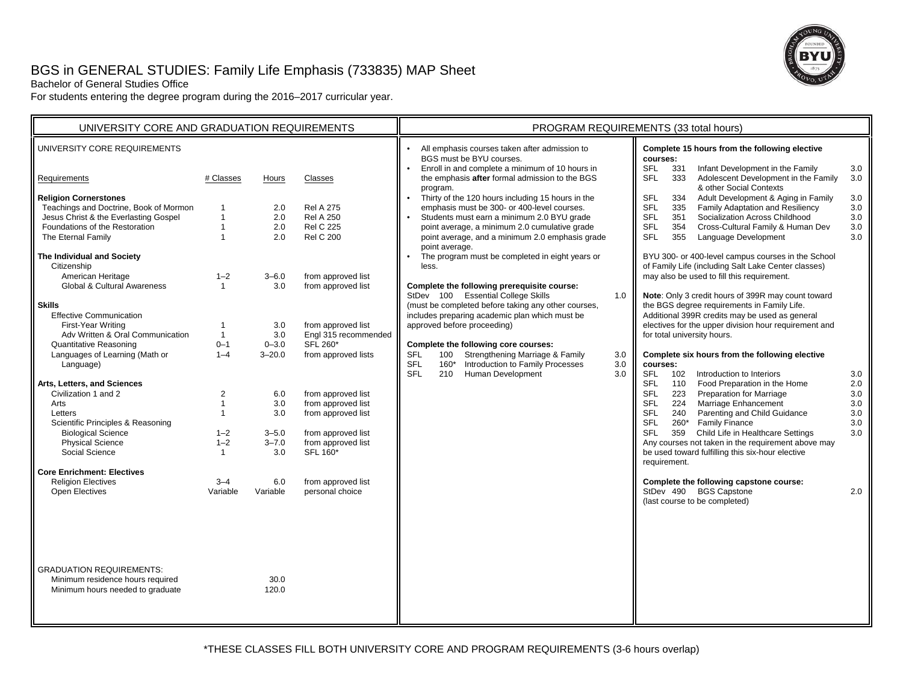# BGS in GENERAL STUDIES: Family Life Emphasis (733835) MAP Sheet



Bachelor of General Studies Office

For students entering the degree program during the 2016–2017 curricular year.

| UNIVERSITY CORE AND GRADUATION REQUIREMENTS                                                   |                                                |                   |                                          | PROGRAM REQUIREMENTS (33 total hours)                                                                                                                                                                                                                                                           |                   |  |
|-----------------------------------------------------------------------------------------------|------------------------------------------------|-------------------|------------------------------------------|-------------------------------------------------------------------------------------------------------------------------------------------------------------------------------------------------------------------------------------------------------------------------------------------------|-------------------|--|
| UNIVERSITY CORE REQUIREMENTS                                                                  |                                                |                   |                                          | All emphasis courses taken after admission to<br>Complete 15 hours from the following elective<br>BGS must be BYU courses.<br>courses:<br>Enroll in and complete a minimum of 10 hours in<br><b>SFL</b><br>Infant Development in the Family                                                     |                   |  |
| Requirements                                                                                  | # Classes                                      | Hours             | Classes                                  | 331<br>the emphasis after formal admission to the BGS<br>Adolescent Development in the Family<br><b>SFL</b><br>333<br>& other Social Contexts<br>program.                                                                                                                                       | 3.0<br>3.0        |  |
| <b>Religion Cornerstones</b><br>Teachings and Doctrine, Book of Mormon                        | $\mathbf{1}$                                   | 2.0               | <b>Rel A 275</b><br><b>Rel A 250</b>     | Thirty of the 120 hours including 15 hours in the<br><b>SFL</b><br>Adult Development & Aging in Family<br>334<br>emphasis must be 300- or 400-level courses.<br>Family Adaptation and Resiliency<br><b>SFL</b><br>335<br><b>SFL</b>                                                             | 3.0<br>3.0        |  |
| Jesus Christ & the Everlasting Gospel<br>Foundations of the Restoration<br>The Eternal Family | $\mathbf{1}$<br>$\mathbf{1}$                   | 2.0<br>2.0<br>2.0 | <b>Rel C 225</b><br><b>Rel C 200</b>     | Students must earn a minimum 2.0 BYU grade<br>Socialization Across Childhood<br>351<br>point average, a minimum 2.0 cumulative grade<br><b>SFL</b><br>354<br>Cross-Cultural Family & Human Dev<br>point average, and a minimum 2.0 emphasis grade<br><b>SFL</b><br>355<br>Language Development  | 3.0<br>3.0<br>3.0 |  |
| The Individual and Society<br>Citizenship                                                     |                                                |                   |                                          | point average.<br>The program must be completed in eight years or<br>BYU 300- or 400-level campus courses in the School<br>of Family Life (including Salt Lake Center classes)<br>less.                                                                                                         |                   |  |
| American Heritage<br>Global & Cultural Awareness                                              | $1 - 2$<br>$\mathbf{1}$                        | $3 - 6.0$<br>3.0  | from approved list<br>from approved list | may also be used to fill this requirement.<br>Complete the following prerequisite course:<br>StDev 100 Essential College Skills<br>1.0<br>Note: Only 3 credit hours of 399R may count toward                                                                                                    |                   |  |
| <b>Skills</b><br><b>Effective Communication</b><br>First-Year Writing                         | $\mathbf{1}$                                   | 3.0               | from approved list                       | the BGS degree requirements in Family Life.<br>(must be completed before taking any other courses,<br>includes preparing academic plan which must be<br>Additional 399R credits may be used as general<br>approved before proceeding)<br>electives for the upper division hour requirement and  |                   |  |
| Adv Written & Oral Communication<br><b>Quantitative Reasoning</b>                             | $\mathbf{1}$<br>$0 - 1$                        | 3.0<br>$0 - 3.0$  | Engl 315 recommended<br>SFL 260*         | for total university hours.<br>Complete the following core courses:                                                                                                                                                                                                                             |                   |  |
| Languages of Learning (Math or<br>Language)                                                   | $1 - 4$                                        | $3 - 20.0$        | from approved lists                      | <b>SFL</b><br>100<br>Strengthening Marriage & Family<br>3.0<br>Complete six hours from the following elective<br>Introduction to Family Processes<br><b>SFL</b><br>$160*$<br>3.0<br>courses:<br><b>SFL</b><br>Human Development<br><b>SFL</b><br>210<br>3.0<br>102<br>Introduction to Interiors | 3.0               |  |
| Arts, Letters, and Sciences<br>Civilization 1 and 2<br>Arts<br>Letters                        | $\overline{2}$<br>$\mathbf{1}$<br>$\mathbf{1}$ | 6.0<br>3.0        | from approved list<br>from approved list | <b>SFL</b><br>110<br>Food Preparation in the Home<br><b>SFL</b><br><b>Preparation for Marriage</b><br>223<br><b>SFL</b><br>224<br>Marriage Enhancement                                                                                                                                          | 2.0<br>3.0<br>3.0 |  |
| Scientific Principles & Reasoning<br><b>Biological Science</b>                                | $1 - 2$                                        | 3.0<br>$3 - 5.0$  | from approved list<br>from approved list | <b>SFL</b><br>240<br>Parenting and Child Guidance<br><b>SFL</b><br>260* Family Finance<br><b>SFL</b><br>Child Life in Healthcare Settings<br>359                                                                                                                                                | 3.0<br>3.0<br>3.0 |  |
| <b>Physical Science</b><br>Social Science                                                     | $1 - 2$<br>$\mathbf{1}$                        | $3 - 7.0$<br>3.0  | from approved list<br>SFL 160*           | Any courses not taken in the requirement above may<br>be used toward fulfilling this six-hour elective<br>requirement.                                                                                                                                                                          |                   |  |
| <b>Core Enrichment: Electives</b><br><b>Religion Electives</b>                                | $3 - 4$                                        | 6.0               | from approved list                       | Complete the following capstone course:                                                                                                                                                                                                                                                         |                   |  |
| <b>Open Electives</b>                                                                         | Variable                                       | Variable          | personal choice                          | StDev 490 BGS Capstone<br>(last course to be completed)                                                                                                                                                                                                                                         | 2.0               |  |
| <b>GRADUATION REQUIREMENTS:</b>                                                               |                                                |                   |                                          |                                                                                                                                                                                                                                                                                                 |                   |  |
| Minimum residence hours required<br>Minimum hours needed to graduate                          |                                                | 30.0<br>120.0     |                                          |                                                                                                                                                                                                                                                                                                 |                   |  |